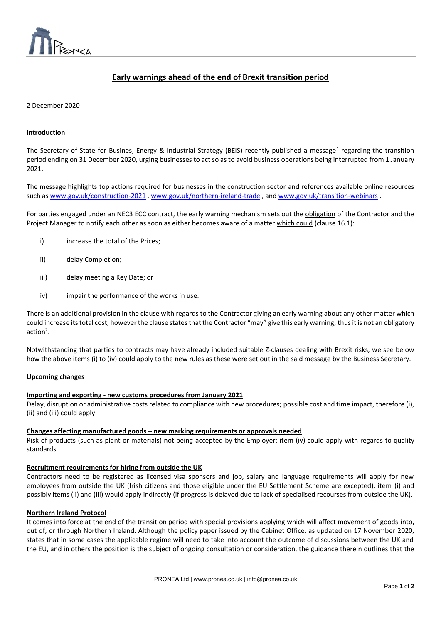

# **Early warnings ahead of the end of Brexit transition period**

 $\overline{a}$ 

# 2 December 2020

## **Introduction**

The Secretary of State for Busines, Energy & Industrial Strategy (BEIS) recently published a message<sup>1</sup> regarding the transition period ending on 31 December 2020, urging businesses to act so as to avoid business operations being interrupted from 1 January 2021.

The message highlights top actions required for businesses in the construction sector and references available online resources such as [www.gov.uk/construction-2021](http://www.gov.uk/construction-2021) , [www.gov.uk/northern-ireland-trade](http://www.gov.uk/northern-ireland-trade) , and [www.gov.uk/transition-webinars](http://www.gov.uk/transition-webinars) .

For parties engaged under an NEC3 ECC contract, the early warning mechanism sets out the obligation of the Contractor and the Project Manager to notify each other as soon as either becomes aware of a matter which could (clause 16.1):

- i) increase the total of the Prices:
- ii) delay Completion;
- iii) delay meeting a Key Date; or
- iv) impair the performance of the works in use.

There is an additional provision in the clause with regards to the Contractor giving an early warning about any other matter which could increase its total cost, however the clause states that the Contractor "may" give this early warning, thus it is not an obligatory  $action<sup>2</sup>$ .

Notwithstanding that parties to contracts may have already included suitable Z-clauses dealing with Brexit risks, we see below how the above items (i) to (iv) could apply to the new rules as these were set out in the said message by the Business Secretary.

#### **Upcoming changes**

#### **Importing and exporting - new customs procedures from January 2021**

Delay, disruption or administrative costs related to compliance with new procedures; possible cost and time impact, therefore (i), (ii) and (iii) could apply.

# **Changes affecting manufactured goods – new marking requirements or approvals needed**

Risk of products (such as plant or materials) not being accepted by the Employer; item (iv) could apply with regards to quality standards.

# **Recruitment requirements for hiring from outside the UK**

Contractors need to be registered as licensed visa sponsors and job, salary and language requirements will apply for new employees from outside the UK (Irish citizens and those eligible under the EU Settlement Scheme are excepted); item (i) and possibly items (ii) and (iii) would apply indirectly (if progress is delayed due to lack of specialised recourses from outside the UK).

#### **Northern Ireland Protocol**

It comes into force at the end of the transition period with special provisions applying which will affect movement of goods into, out of, or through Northern Ireland. Although the policy paper issued by the Cabinet Office, as updated on 17 November 2020, states that in some cases the applicable regime will need to take into account the outcome of discussions between the UK and the EU, and in others the position is the subject of ongoing consultation or consideration, the guidance therein outlines that the